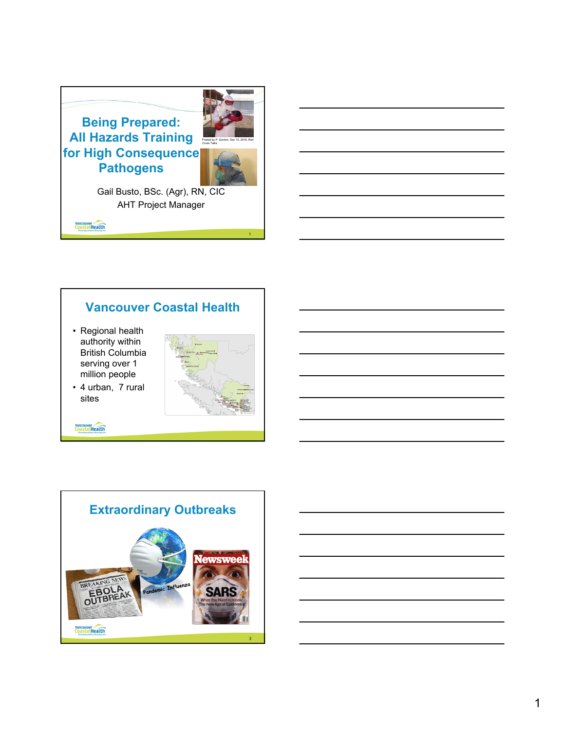

### **Vancouver Coastal Health**

• Regional health authority within British Columbia serving over 1 million people



• 4 urban, 7 rural sites

Vancouver

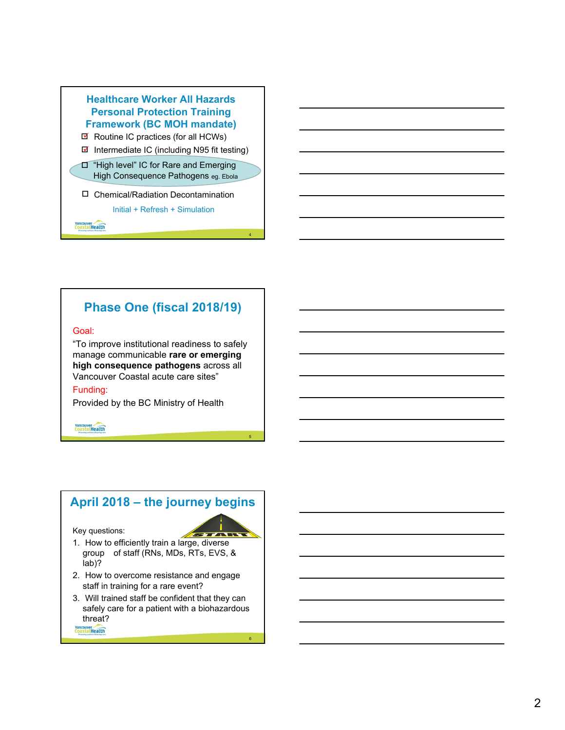

## **Phase One (fiscal 2018/19)**

#### Goal:

"To improve institutional readiness to safely manage communicable **rare or emerging high consequence pathogens** across all Vancouver Coastal acute care sites"

5

6

#### Funding:

Provided by the BC Ministry of Health

#### **Vancouver**

### **April 2018 – the journey begins** Key questions: 77 A 17 T 1. How to efficiently train a large, diverse group of staff (RNs, MDs, RTs, EVS, & lab)? 2. How to overcome resistance and engage staff in training for a rare event? 3. Will trained staff be confident that they can

safely care for a patient with a biohazardous threat? **Vancouver**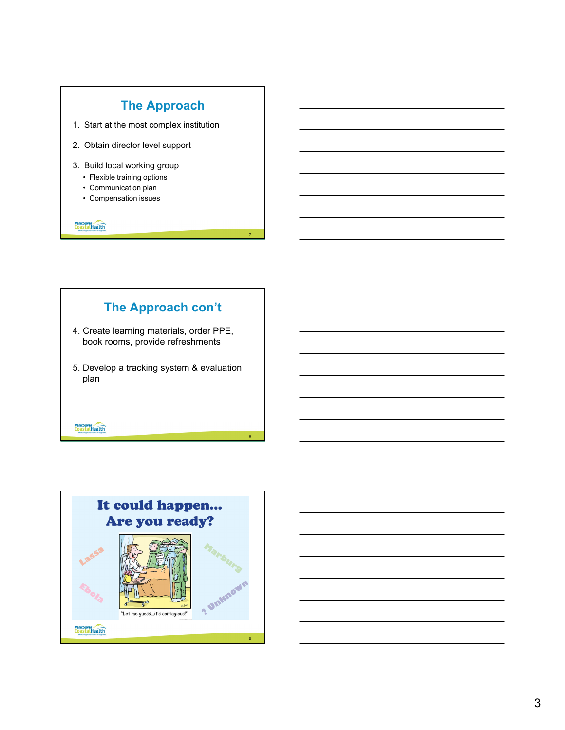

8

# **The Approach con't**

- 4. Create learning materials, order PPE, book rooms, provide refreshments
- 5. Develop a tracking system & evaluation plan

Vancouver

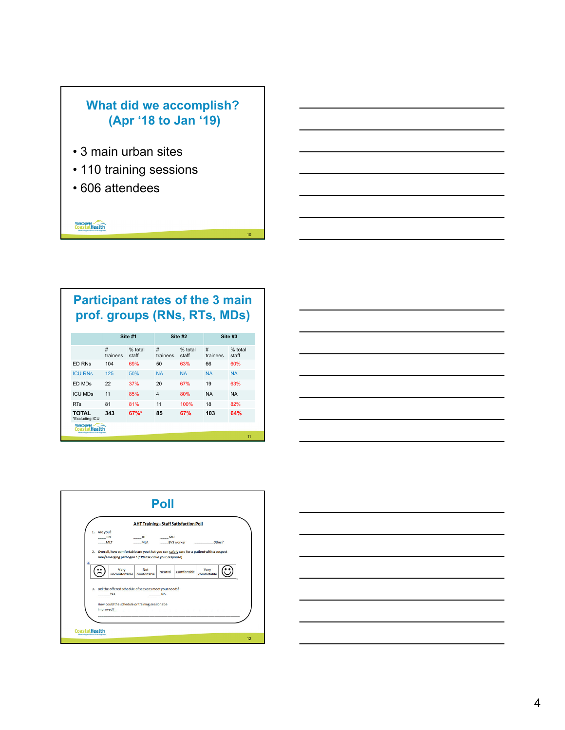## **What did we accomplish? (Apr '18 to Jan '19)**

- 3 main urban sites
- 110 training sessions
- 606 attendees

**Vancouver** 

# **Participant rates of the 3 main prof. groups (RNs, RTs, MDs)**

10

|                                                     | Site #1       |                  | Site #2        |                  | Site #3       |                  |
|-----------------------------------------------------|---------------|------------------|----------------|------------------|---------------|------------------|
|                                                     | #<br>trainees | % total<br>staff | #<br>trainees  | % total<br>staff | #<br>trainees | % total<br>staff |
| <b>ED RNs</b>                                       | 104           | 69%              | 50             | 63%              | 66            | 60%              |
| <b>ICU RNs</b>                                      | 125           | 50%              | <b>NA</b>      | <b>NA</b>        | <b>NA</b>     | <b>NA</b>        |
| ED MDs                                              | 22            | 37%              | 20             | 67%              | 19            | 63%              |
| <b>ICU MDS</b>                                      | 11            | 85%              | $\overline{4}$ | 80%              | <b>NA</b>     | <b>NA</b>        |
| <b>RTs</b>                                          | 81            | 81%              | 11             | 100%             | 18            | 82%              |
| TOTAL<br>*Excluding ICU<br><b>Vancouver</b>         | 343           | 67%*             | 85             | 67%              | 103           | 64%              |
| CoastalHealth<br>Promoting wellness Executing core. |               |                  |                |                  |               |                  |





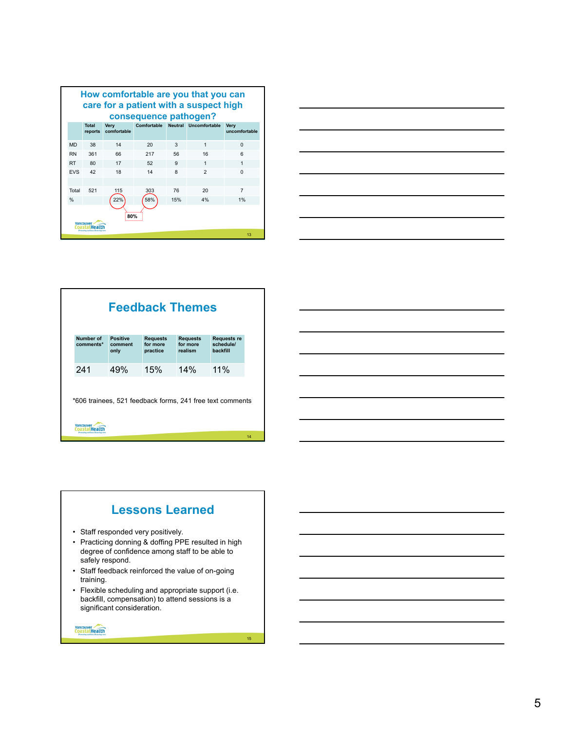| How comfortable are you that you can<br>care for a patient with a suspect high |                                  |                     |     |     |                                   |                              |  |
|--------------------------------------------------------------------------------|----------------------------------|---------------------|-----|-----|-----------------------------------|------------------------------|--|
| consequence pathogen?                                                          |                                  |                     |     |     |                                   |                              |  |
|                                                                                | <b>Total</b><br>reports          | Very<br>comfortable |     |     | Comfortable Neutral Uncomfortable | <b>Verv</b><br>uncomfortable |  |
| <b>MD</b>                                                                      | 38                               | 14                  | 20  | 3   | 1                                 | $\Omega$                     |  |
| <b>RN</b>                                                                      | 361                              | 66                  | 217 | 56  | 16                                | 6                            |  |
| <b>RT</b>                                                                      | 80                               | 17                  | 52  | 9   | $\mathbf{1}$                      | 1                            |  |
| <b>EVS</b>                                                                     | 42                               | 18                  | 14  | 8   | $\mathfrak{p}$                    | $\Omega$                     |  |
|                                                                                |                                  |                     |     |     |                                   |                              |  |
| Total                                                                          | 521                              | 115                 | 303 | 76  | 20                                | $\overline{7}$               |  |
| $\frac{0}{0}$                                                                  |                                  | 22%                 | 58% | 15% | 4%                                | 1%                           |  |
| 80%<br>Vancouw                                                                 |                                  |                     |     |     |                                   |                              |  |
|                                                                                | Promoting systhem. Executing co. |                     |     |     |                                   | 13                           |  |



| <b>Feedback Themes</b> |                                                           |                                         |                                        |                                             |    |  |  |
|------------------------|-----------------------------------------------------------|-----------------------------------------|----------------------------------------|---------------------------------------------|----|--|--|
| Number of<br>comments* | <b>Positive</b><br>comment<br>only                        | <b>Requests</b><br>for more<br>practice | <b>Requests</b><br>for more<br>realism | <b>Requests re</b><br>schedule/<br>backfill |    |  |  |
| 241                    | 49%                                                       | 15%                                     | 14%                                    | 11%                                         |    |  |  |
|                        | *606 trainees, 521 feedback forms, 241 free text comments |                                         |                                        |                                             |    |  |  |
| <b>Vancouve</b>        |                                                           |                                         |                                        |                                             | 14 |  |  |

### **Lessons Learned**

- Staff responded very positively.
- Practicing donning & doffing PPE resulted in high degree of confidence among staff to be able to safely respond.
- Staff feedback reinforced the value of on-going training.
- Flexible scheduling and appropriate support (i.e. backfill, compensation) to attend sessions is a significant consideration.

15

**Vancouver** 

5